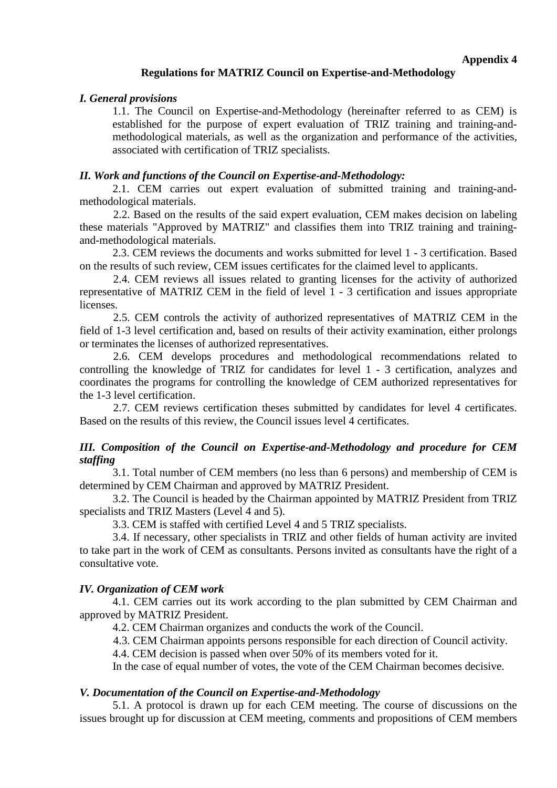### **Regulations for MATRIZ Council on Expertise-and-Methodology**

#### *I. General provisions*

1.1. The Council on Expertise-and-Methodology (hereinafter referred to as CEM) is established for the purpose of expert evaluation of TRIZ training and training-andmethodological materials, as well as the organization and performance of the activities, associated with certification of TRIZ specialists.

### *II. Work and functions of the Council on Expertise-and-Methodology:*

2.1. CEM carries out expert evaluation of submitted training and training-andmethodological materials.

2.2. Based on the results of the said expert evaluation, CEM makes decision on labeling these materials "Approved by MATRIZ" and classifies them into TRIZ training and trainingand-methodological materials.

2.3. CEM reviews the documents and works submitted for level 1 - 3 certification. Based on the results of such review, CEM issues certificates for the claimed level to applicants.

2.4. CEM reviews all issues related to granting licenses for the activity of authorized representative of MATRIZ CEM in the field of level 1 - 3 certification and issues appropriate licenses.

2.5. CEM controls the activity of authorized representatives of MATRIZ CEM in the field of 1-3 level certification and, based on results of their activity examination, either prolongs or terminates the licenses of authorized representatives.

2.6. CEM develops procedures and methodological recommendations related to controlling the knowledge of TRIZ for candidates for level 1 - 3 certification, analyzes and coordinates the programs for controlling the knowledge of CEM authorized representatives for the 1-3 level certification.

2.7. CEM reviews certification theses submitted by candidates for level 4 certificates. Based on the results of this review, the Council issues level 4 certificates.

# *III. Composition of the Council on Expertise-and-Methodology and procedure for CEM staffing*

3.1. Total number of CEM members (no less than 6 persons) and membership of CEM is determined by CEM Chairman and approved by MATRIZ President.

3.2. The Council is headed by the Chairman appointed by MATRIZ President from TRIZ specialists and TRIZ Masters (Level 4 and 5).

3.3. CEM is staffed with certified Level 4 and 5 TRIZ specialists.

3.4. If necessary, other specialists in TRIZ and other fields of human activity are invited to take part in the work of CEM as consultants. Persons invited as consultants have the right of a consultative vote.

# *IV. Organization of CEM work*

4.1. CEM carries out its work according to the plan submitted by CEM Chairman and approved by MATRIZ President.

4.2. CEM Chairman organizes and conducts the work of the Council.

4.3. CEM Chairman appoints persons responsible for each direction of Council activity.

4.4. CEM decision is passed when over 50% of its members voted for it.

In the case of equal number of votes, the vote of the CEM Chairman becomes decisive.

#### *V. Documentation of the Council on Expertise-and-Methodology*

5.1. A protocol is drawn up for each CEM meeting. The course of discussions on the issues brought up for discussion at CEM meeting, comments and propositions of CEM members